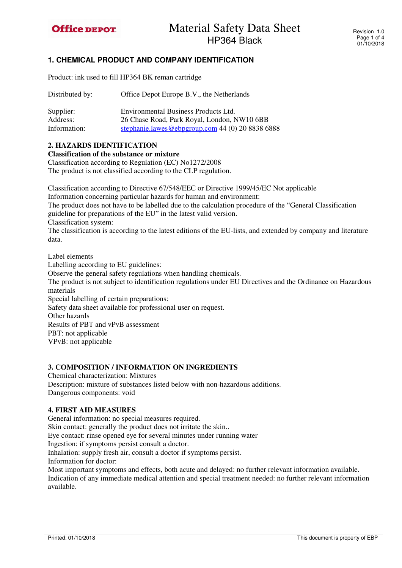# **1. CHEMICAL PRODUCT AND COMPANY IDENTIFICATION**

Product: ink used to fill HP364 BK reman cartridge

| Distributed by: | Office Depot Europe B.V., the Netherlands        |
|-----------------|--------------------------------------------------|
| Supplier:       | Environmental Business Products Ltd.             |
| Address:        | 26 Chase Road, Park Royal, London, NW10 6BB      |
| Information:    | stephanie.lawes@ebpgroup.com 44 (0) 20 8838 6888 |

#### **2. HAZARDS IDENTIFICATION**

**Classification of the substance or mixture** 

Classification according to Regulation (EC) No1272/2008 The product is not classified according to the CLP regulation.

Classification according to Directive 67/548/EEC or Directive 1999/45/EC Not applicable Information concerning particular hazards for human and environment: The product does not have to be labelled due to the calculation procedure of the "General Classification guideline for preparations of the EU" in the latest valid version.

Classification system:

The classification is according to the latest editions of the EU-lists, and extended by company and literature data.

Label elements Labelling according to EU guidelines: Observe the general safety regulations when handling chemicals. The product is not subject to identification regulations under EU Directives and the Ordinance on Hazardous materials Special labelling of certain preparations: Safety data sheet available for professional user on request. Other hazards Results of PBT and vPvB assessment PBT: not applicable VPvB: not applicable

#### **3. COMPOSITION / INFORMATION ON INGREDIENTS**

Chemical characterization: Mixtures Description: mixture of substances listed below with non-hazardous additions. Dangerous components: void

#### **4. FIRST AID MEASURES**

General information: no special measures required. Skin contact: generally the product does not irritate the skin.. Eye contact: rinse opened eye for several minutes under running water Ingestion: if symptoms persist consult a doctor. Inhalation: supply fresh air, consult a doctor if symptoms persist. Information for doctor: Most important symptoms and effects, both acute and delayed: no further relevant information available. Indication of any immediate medical attention and special treatment needed: no further relevant information

available.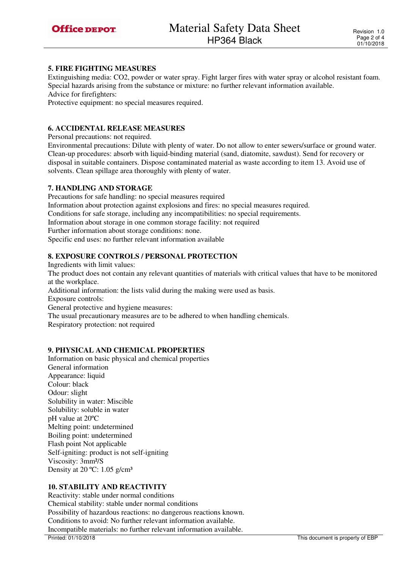### **5. FIRE FIGHTING MEASURES**

Extinguishing media: CO2, powder or water spray. Fight larger fires with water spray or alcohol resistant foam. Special hazards arising from the substance or mixture: no further relevant information available.

Advice for firefighters:

Protective equipment: no special measures required.

#### **6. ACCIDENTAL RELEASE MEASURES**

Personal precautions: not required.

Environmental precautions: Dilute with plenty of water. Do not allow to enter sewers/surface or ground water. Clean-up procedures: absorb with liquid-binding material (sand, diatomite, sawdust). Send for recovery or disposal in suitable containers. Dispose contaminated material as waste according to item 13. Avoid use of solvents. Clean spillage area thoroughly with plenty of water.

# **7. HANDLING AND STORAGE**

Precautions for safe handling: no special measures required Information about protection against explosions and fires: no special measures required. Conditions for safe storage, including any incompatibilities: no special requirements. Information about storage in one common storage facility: not required Further information about storage conditions: none. Specific end uses: no further relevant information available

# **8. EXPOSURE CONTROLS / PERSONAL PROTECTION**

Ingredients with limit values: The product does not contain any relevant quantities of materials with critical values that have to be monitored at the workplace.

Additional information: the lists valid during the making were used as basis.

Exposure controls:

General protective and hygiene measures:

The usual precautionary measures are to be adhered to when handling chemicals.

Respiratory protection: not required

# **9. PHYSICAL AND CHEMICAL PROPERTIES**

Information on basic physical and chemical properties General information Appearance: liquid Colour: black Odour: slight Solubility in water: Miscible Solubility: soluble in water pH value at 20ºC Melting point: undetermined Boiling point: undetermined Flash point Not applicable Self-igniting: product is not self-igniting Viscosity: 3mm²/S Density at 20 °C: 1.05 g/cm<sup>3</sup>

# **10. STABILITY AND REACTIVITY**

Reactivity: stable under normal conditions Chemical stability: stable under normal conditions Possibility of hazardous reactions: no dangerous reactions known. Conditions to avoid: No further relevant information available. Incompatible materials: no further relevant information available.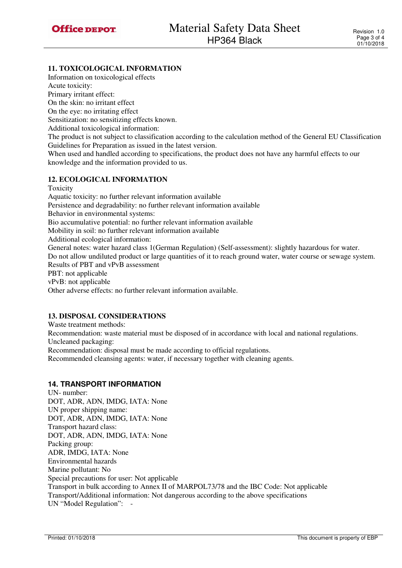# **11. TOXICOLOGICAL INFORMATION**

Information on toxicological effects Acute toxicity:

Primary irritant effect:

On the skin: no irritant effect

On the eye: no irritating effect

Sensitization: no sensitizing effects known.

Additional toxicological information:

The product is not subject to classification according to the calculation method of the General EU Classification Guidelines for Preparation as issued in the latest version.

When used and handled according to specifications, the product does not have any harmful effects to our knowledge and the information provided to us.

# **12. ECOLOGICAL INFORMATION**

Toxicity

Aquatic toxicity: no further relevant information available Persistence and degradability: no further relevant information available Behavior in environmental systems: Bio accumulative potential: no further relevant information available Mobility in soil: no further relevant information available Additional ecological information: General notes: water hazard class 1(German Regulation) (Self-assessment): slightly hazardous for water. Do not allow undiluted product or large quantities of it to reach ground water, water course or sewage system. Results of PBT and vPvB assessment PBT: not applicable vPvB: not applicable Other adverse effects: no further relevant information available.

# **13. DISPOSAL CONSIDERATIONS**

Waste treatment methods:

Recommendation: waste material must be disposed of in accordance with local and national regulations. Uncleaned packaging:

Recommendation: disposal must be made according to official regulations.

Recommended cleansing agents: water, if necessary together with cleaning agents.

#### **14. TRANSPORT INFORMATION**

UN- number: DOT, ADR, ADN, IMDG, IATA: None UN proper shipping name: DOT, ADR, ADN, IMDG, IATA: None Transport hazard class: DOT, ADR, ADN, IMDG, IATA: None Packing group: ADR, IMDG, IATA: None Environmental hazards Marine pollutant: No Special precautions for user: Not applicable Transport in bulk according to Annex II of MARPOL73/78 and the IBC Code: Not applicable Transport/Additional information: Not dangerous according to the above specifications UN "Model Regulation": -